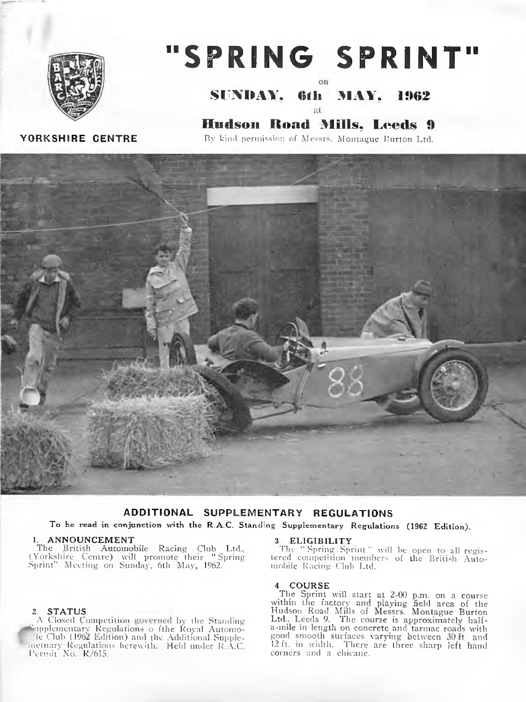

# "SPRING SPRINT"

SUNDAY. 6th MAY. 1962 at

YORKSHIRE CENTRE

**Hudson Road Mills, Leeds 9** By kind permission of Messrs, Montague Burton Ltd.



## ADDITIONAL SUPPLEMENTARY REGULATIONS

To be read in conjunction with the R.A.C. Standing Supplementary Regulations (1962 Edition).

1. ANNOUNCEMENT<br>
The British Automobile Racing Club Ltd.,<br>
(Yorkshire Centre) will promote their "Spring<br>
Sprint" Meeting on Sunday, 6th May, 1962.

## 2 STATUS

A Closed Competition governed by the Standing implementary Regulations o fthe Royal Automo-<br>le Club (1962 Edition) and the Additional Supplemetnary Regulations herewith. Held under R.A.C.<br>Permit No. R/615.

## 3. ELIGIBILITY

The "Spring Sprint" will be open to all registered competition members of the British Automobile Racing Club Ltd.

4. COURSE<br>The Sprint will start at 2-00 p.m. on a course<br>within the factory and playing field area of the<br>Hudson Road Mills of Messrs. Montague Burton<br>Ltd., Leeds 9. The course is approximately halfa-mile in length on concrete and tarmac roads with good smooth surfaces varying between 30 ft. and 12 ft. in width. There are three sharp left hand corners and a chicane.